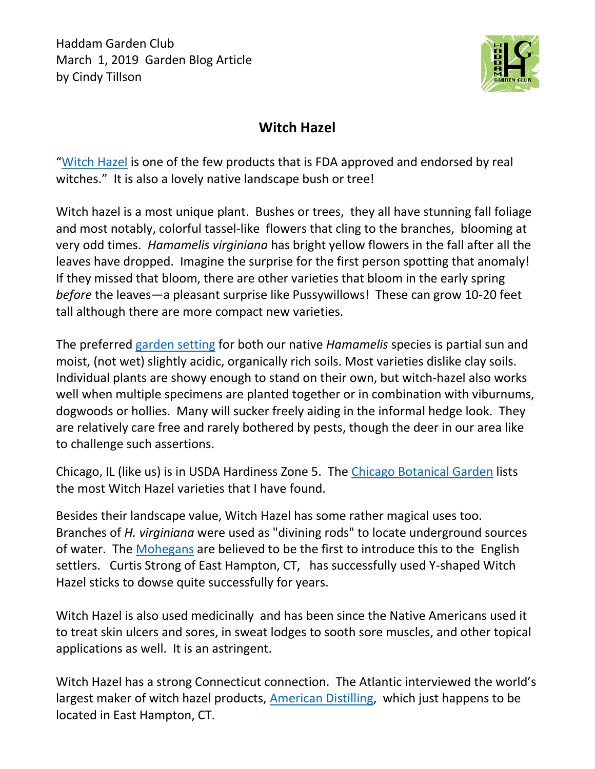

## **Witch Hazel**

"[Witch Hazel](https://www.theatlantic.com/health/archive/2012/11/the-mysterious-past-and-present-of-witch-hazel/264553/) is one of the few products that is FDA approved and endorsed by real witches." It is also a lovely native landscape bush or tree!

Witch hazel is a most unique plant. Bushes or trees, they all have stunning fall foliage and most notably, colorful tassel-like flowers that cling to the branches, blooming at very odd times. *Hamamelis virginiana* has bright yellow flowers in the fall after all the leaves have dropped. Imagine the surprise for the first person spotting that anomaly! If they missed that bloom, there are other varieties that bloom in the early spring *before* the leaves—a pleasant surprise like Pussywillows! These can grow 10-20 feet tall although there are more compact new varieties.

The preferred [garden setting](https://www.bbg.org/gardening/article/winsome_witch-hazel) for both our native *Hamamelis* species is partial sun and moist, (not wet) slightly acidic, organically rich soils. Most varieties dislike clay soils. Individual plants are showy enough to stand on their own, but witch-hazel also works well when multiple specimens are planted together or in combination with viburnums, dogwoods or hollies. Many will sucker freely aiding in the informal hedge look. They are relatively care free and rarely bothered by pests, though the deer in our area like to challenge such assertions.

Chicago, IL (like us) is in USDA Hardiness Zone 5. The [Chicago Botanical Garden](https://www.chicagobotanic.org/plantinfo/smart_gardener/which_witch_hazel_should_be_your_yard) lists the most Witch Hazel varieties that I have found.

Besides their landscape value, Witch Hazel has some rather magical uses too. Branches of *H. virginiana* were used as "divining rods" to locate underground sources of water. The [Mohegans](https://www.theatlantic.com/health/archive/2012/11/the-mysterious-past-and-present-of-witch-hazel/264553/) are believed to be the first to introduce this to the English settlers. Curtis Strong of East Hampton, CT, has successfully used Y-shaped Witch Hazel sticks to dowse quite successfully for years.

Witch Hazel is also used medicinally and has been since the Native Americans used it to treat skin ulcers and sores, in sweat lodges to sooth sore muscles, and other topical applications as well. It is an astringent.

Witch Hazel has a strong Connecticut connection. The Atlantic interviewed the world's largest maker of witch hazel products, [American Distilling,](http://www.americandistilling.com/) which just happens to be located in East Hampton, CT.